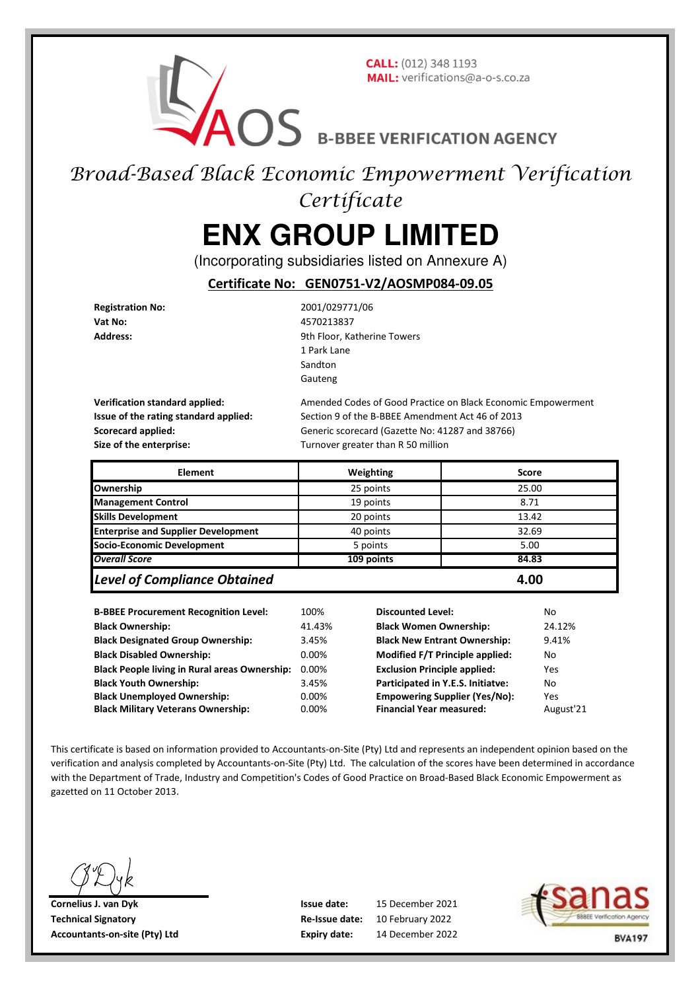**CALL:** (012) 348 1193 MAIL: verifications@a-o-s.co.za

AOS B-BBEE VERIFICATION AGENCY

## Broad-Based Black Economic Empowerment Verification **Certificate**

# **ENX GROUP LIMITED**

(Incorporating subsidiaries listed on Annexure A)

**Certificate No: GEN0751-V2/AOSMP084-09.05**

**Registration No:** 2001/029771/06 **Vat No:** 4570213837

Address: **Address:** 9th Floor, Katherine Towers 1 Park Lane Sandton Gauteng

**Size of the enterprise:** Turnover greater than R 50 million

**Verification standard applied:** Amended Codes of Good Practice on Black Economic Empowerment **Issue of the rating standard applied:** Section 9 of the B-BBEE Amendment Act 46 of 2013 **Scorecard applied:** Generic scorecard (Gazette No: 41287 and 38766)

| <b>Element</b>                             | Weighting  | <b>Score</b> |
|--------------------------------------------|------------|--------------|
| Ownership                                  | 25 points  | 25.00        |
| <b>Management Control</b>                  | 19 points  | 8.71         |
| <b>Skills Development</b>                  | 20 points  | 13.42        |
| <b>Enterprise and Supplier Development</b> | 40 points  | 32.69        |
| Socio-Economic Development                 | 5 points   | 5.00         |
| <b>Overall Score</b>                       | 109 points | 84.83        |
| <b>Level of Compliance Obtained</b>        |            | 4.00         |

| <b>B-BBEE Procurement Recognition Level:</b>         | 100%           |
|------------------------------------------------------|----------------|
| <b>Black Ownership:</b>                              | 41.4           |
| <b>Black Designated Group Ownership:</b>             | 3.45'          |
| <b>Black Disabled Ownership:</b>                     | $0.00^{\circ}$ |
| <b>Black People living in Rural areas Ownership:</b> | $0.00^{\circ}$ |
| <b>Black Youth Ownership:</b>                        | 3.45'          |
| <b>Black Unemployed Ownership:</b>                   | 0.00           |
| <b>Black Military Veterans Ownership:</b>            | $0.00^{\circ}$ |

**Between State Processes** Recognition Discounted Level: 100 No. **Black Ownership:** 41.43% **Black Women Ownership:** 24.12% **Black Designated Group Ownership:** 3.45% **Black New Entrant Ownership:** 9.41% **Black Disabled Ownership:** 0.00% **Modified F/T Principle applied:** No **Black People 2.000 Exclusion Principle applied:** Pes **Black Youth Ownership:** 3.45% **Participated in Y.E.S. Initiatve:** No **Back Universe Supplier (Yes/No):** Yes **PROX Binancial Year measured: August'21** 

This certificate is based on information provided to Accountants-on-Site (Pty) Ltd and represents an independent opinion based on the verification and analysis completed by Accountants-on-Site (Pty) Ltd. The calculation of the scores have been determined in accordance with the Department of Trade, Industry and Competition's Codes of Good Practice on Broad-Based Black Economic Empowerment as gazetted on 11 October 2013.

**Cornelius J. van Dyk Issue date: Technical Signatory Re-Issue date: Accountants-on-site (Pty) Ltd Expiry date:**

14 December 2022 15 December 2021 10 February 2022

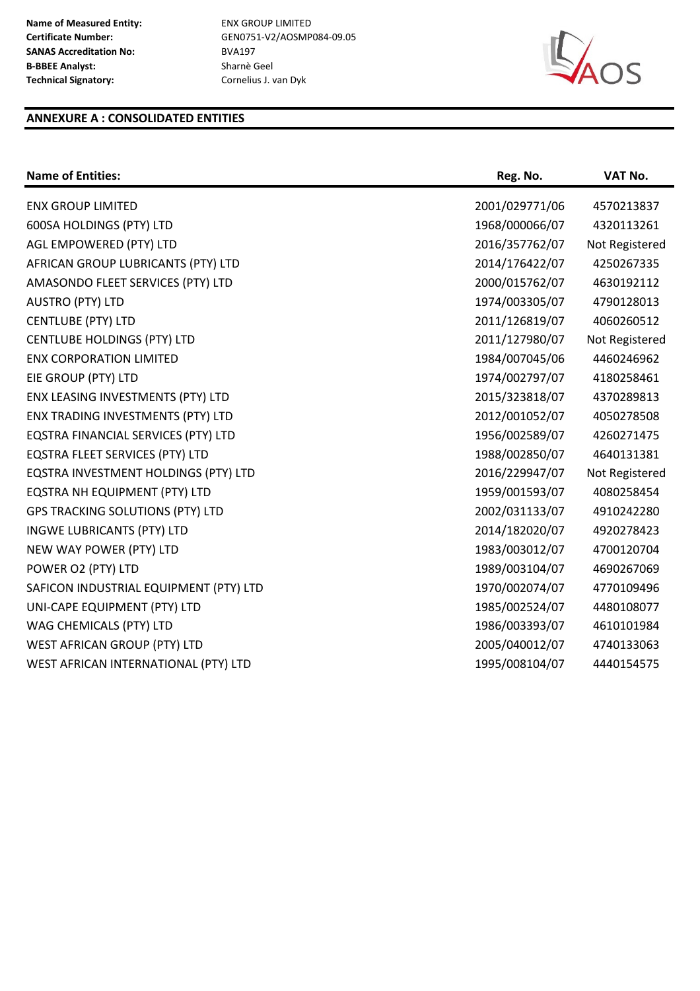**Certificate Number:** GEN0751-V2/AOSMP084-09.05



#### **ANNEXURE A : CONSOLIDATED ENTITIES**

| <b>Name of Entities:</b>                | Reg. No.       | VAT No.        |
|-----------------------------------------|----------------|----------------|
| <b>ENX GROUP LIMITED</b>                | 2001/029771/06 | 4570213837     |
| 600SA HOLDINGS (PTY) LTD                | 1968/000066/07 | 4320113261     |
| AGL EMPOWERED (PTY) LTD                 | 2016/357762/07 | Not Registered |
| AFRICAN GROUP LUBRICANTS (PTY) LTD      | 2014/176422/07 | 4250267335     |
| AMASONDO FLEET SERVICES (PTY) LTD       | 2000/015762/07 | 4630192112     |
| <b>AUSTRO (PTY) LTD</b>                 | 1974/003305/07 | 4790128013     |
| <b>CENTLUBE (PTY) LTD</b>               | 2011/126819/07 | 4060260512     |
| <b>CENTLUBE HOLDINGS (PTY) LTD</b>      | 2011/127980/07 | Not Registered |
| <b>ENX CORPORATION LIMITED</b>          | 1984/007045/06 | 4460246962     |
| EIE GROUP (PTY) LTD                     | 1974/002797/07 | 4180258461     |
| ENX LEASING INVESTMENTS (PTY) LTD       | 2015/323818/07 | 4370289813     |
| ENX TRADING INVESTMENTS (PTY) LTD       | 2012/001052/07 | 4050278508     |
| EQSTRA FINANCIAL SERVICES (PTY) LTD     | 1956/002589/07 | 4260271475     |
| EQSTRA FLEET SERVICES (PTY) LTD         | 1988/002850/07 | 4640131381     |
| EQSTRA INVESTMENT HOLDINGS (PTY) LTD    | 2016/229947/07 | Not Registered |
| EQSTRA NH EQUIPMENT (PTY) LTD           | 1959/001593/07 | 4080258454     |
| <b>GPS TRACKING SOLUTIONS (PTY) LTD</b> | 2002/031133/07 | 4910242280     |
| <b>INGWE LUBRICANTS (PTY) LTD</b>       | 2014/182020/07 | 4920278423     |
| NEW WAY POWER (PTY) LTD                 | 1983/003012/07 | 4700120704     |
| POWER O2 (PTY) LTD                      | 1989/003104/07 | 4690267069     |
| SAFICON INDUSTRIAL EQUIPMENT (PTY) LTD  | 1970/002074/07 | 4770109496     |
| UNI-CAPE EQUIPMENT (PTY) LTD            | 1985/002524/07 | 4480108077     |
| WAG CHEMICALS (PTY) LTD                 | 1986/003393/07 | 4610101984     |
| WEST AFRICAN GROUP (PTY) LTD            | 2005/040012/07 | 4740133063     |
| WEST AFRICAN INTERNATIONAL (PTY) LTD    | 1995/008104/07 | 4440154575     |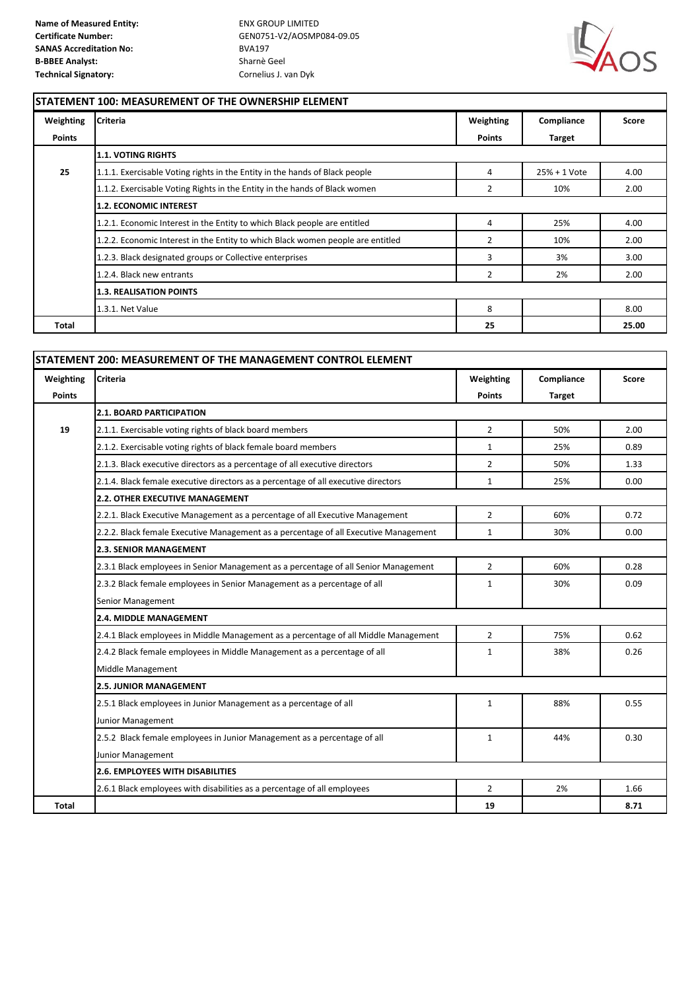

#### **STATEMENT 100: MEASUREMENT OF THE OWNERSHIP ELEMENT**

| Weighting     | <b>Criteria</b>                                                                 | Weighting      | Compliance    | Score |
|---------------|---------------------------------------------------------------------------------|----------------|---------------|-------|
| <b>Points</b> |                                                                                 | <b>Points</b>  | <b>Target</b> |       |
|               | <b>1.1. VOTING RIGHTS</b>                                                       |                |               |       |
| 25            | 1.1.1. Exercisable Voting rights in the Entity in the hands of Black people     | 4              | 25% + 1 Vote  | 4.00  |
|               | 1.1.2. Exercisable Voting Rights in the Entity in the hands of Black women      | 2              | 10%           | 2.00  |
|               | <b>1.2. ECONOMIC INTEREST</b>                                                   |                |               |       |
|               | 1.2.1. Economic Interest in the Entity to which Black people are entitled       | 4              | 25%           | 4.00  |
|               | 1.2.2. Economic Interest in the Entity to which Black women people are entitled | $\overline{2}$ | 10%           | 2.00  |
|               | 1.2.3. Black designated groups or Collective enterprises                        | 3              | 3%            | 3.00  |
|               | 1.2.4. Black new entrants                                                       | 2              | 2%            | 2.00  |
|               | <b>1.3. REALISATION POINTS</b>                                                  |                |               |       |
|               | 1.3.1. Net Value                                                                | 8              |               | 8.00  |
| Total         |                                                                                 | 25             |               | 25.00 |

| Weighting     | <b>Criteria</b>                                                                      | Weighting      | Compliance    | Score |  |
|---------------|--------------------------------------------------------------------------------------|----------------|---------------|-------|--|
| <b>Points</b> |                                                                                      | <b>Points</b>  | <b>Target</b> |       |  |
|               | <b>2.1. BOARD PARTICIPATION</b>                                                      |                |               |       |  |
| 19            | 2.1.1. Exercisable voting rights of black board members                              | $\overline{2}$ | 50%           | 2.00  |  |
|               | 2.1.2. Exercisable voting rights of black female board members                       | $\mathbf{1}$   | 25%           | 0.89  |  |
|               | 2.1.3. Black executive directors as a percentage of all executive directors          | $\overline{2}$ | 50%           | 1.33  |  |
|               | 2.1.4. Black female executive directors as a percentage of all executive directors   | $\mathbf{1}$   | 25%           | 0.00  |  |
|               | <b>2.2. OTHER EXECUTIVE MANAGEMENT</b>                                               |                |               |       |  |
|               | 2.2.1. Black Executive Management as a percentage of all Executive Management        | $\overline{2}$ | 60%           | 0.72  |  |
|               | 2.2.2. Black female Executive Management as a percentage of all Executive Management | $\mathbf{1}$   | 30%           | 0.00  |  |
|               | <b>2.3. SENIOR MANAGEMENT</b>                                                        |                |               |       |  |
|               | 2.3.1 Black employees in Senior Management as a percentage of all Senior Management  | $\overline{2}$ | 60%           | 0.28  |  |
|               | 2.3.2 Black female employees in Senior Management as a percentage of all             | $\mathbf{1}$   | 30%           | 0.09  |  |
|               | Senior Management                                                                    |                |               |       |  |
|               | <b>2.4. MIDDLE MANAGEMENT</b>                                                        |                |               |       |  |
|               | 2.4.1 Black employees in Middle Management as a percentage of all Middle Management  | $\overline{2}$ | 75%           | 0.62  |  |
|               | 2.4.2 Black female employees in Middle Management as a percentage of all             | $\mathbf{1}$   | 38%           | 0.26  |  |
|               | Middle Management                                                                    |                |               |       |  |
|               | <b>2.5. JUNIOR MANAGEMENT</b>                                                        |                |               |       |  |
|               | 2.5.1 Black employees in Junior Management as a percentage of all                    | $\mathbf{1}$   | 88%           | 0.55  |  |
|               | Junior Management                                                                    |                |               |       |  |
|               | 2.5.2 Black female employees in Junior Management as a percentage of all             | $\mathbf{1}$   | 44%           | 0.30  |  |
|               | Junior Management                                                                    |                |               |       |  |
|               | <b>2.6. EMPLOYEES WITH DISABILITIES</b>                                              |                |               |       |  |
|               | 2.6.1 Black employees with disabilities as a percentage of all employees             | $\overline{2}$ | 2%            | 1.66  |  |
| Total         |                                                                                      | 19             |               | 8.71  |  |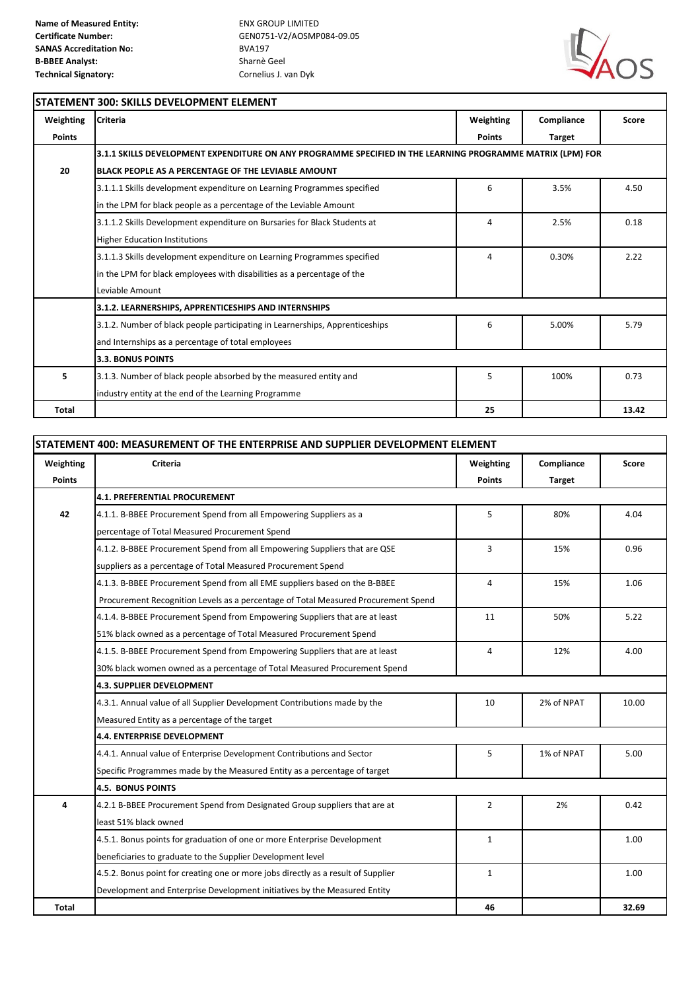

### **STATEMENT 300: SKILLS DEVELOPMENT ELEMENT**

| Weighting     | <b>Criteria</b>                                                                                            | Weighting     | Compliance    | Score |
|---------------|------------------------------------------------------------------------------------------------------------|---------------|---------------|-------|
| <b>Points</b> |                                                                                                            | <b>Points</b> | <b>Target</b> |       |
|               | 3.1.1 SKILLS DEVELOPMENT EXPENDITURE ON ANY PROGRAMME SPECIFIED IN THE LEARNING PROGRAMME MATRIX (LPM) FOR |               |               |       |
| 20            | BLACK PEOPLE AS A PERCENTAGE OF THE LEVIABLE AMOUNT                                                        |               |               |       |
|               | 3.1.1.1 Skills development expenditure on Learning Programmes specified                                    | 6             | 3.5%          | 4.50  |
|               | in the LPM for black people as a percentage of the Leviable Amount                                         |               |               |       |
|               | 3.1.1.2 Skills Development expenditure on Bursaries for Black Students at                                  | 4             | 2.5%          | 0.18  |
|               | <b>Higher Education Institutions</b>                                                                       |               |               |       |
|               | 3.1.1.3 Skills development expenditure on Learning Programmes specified                                    | 4             | 0.30%         | 2.22  |
|               | in the LPM for black employees with disabilities as a percentage of the                                    |               |               |       |
|               | Leviable Amount                                                                                            |               |               |       |
|               | 3.1.2. LEARNERSHIPS, APPRENTICESHIPS AND INTERNSHIPS                                                       |               |               |       |
|               | 3.1.2. Number of black people participating in Learnerships, Apprenticeships                               | 6             | 5.00%         | 5.79  |
|               | and Internships as a percentage of total employees                                                         |               |               |       |
|               | 3.3. BONUS POINTS                                                                                          |               |               |       |
| 5.            | 3.1.3. Number of black people absorbed by the measured entity and                                          | 5             | 100%          | 0.73  |
|               | industry entity at the end of the Learning Programme                                                       |               |               |       |
| <b>Total</b>  |                                                                                                            | 25            |               | 13.42 |

| STATEMENT 400: MEASUREMENT OF THE ENTERPRISE AND SUPPLIER DEVELOPMENT ELEMENT |                                                                                    |                |               |       |
|-------------------------------------------------------------------------------|------------------------------------------------------------------------------------|----------------|---------------|-------|
| Weighting                                                                     | Criteria                                                                           | Weighting      | Compliance    | Score |
| <b>Points</b>                                                                 |                                                                                    | <b>Points</b>  | <b>Target</b> |       |
|                                                                               | <b>4.1. PREFERENTIAL PROCUREMENT</b>                                               |                |               |       |
| 42                                                                            | 4.1.1. B-BBEE Procurement Spend from all Empowering Suppliers as a                 | 5              | 80%           | 4.04  |
|                                                                               | percentage of Total Measured Procurement Spend                                     |                |               |       |
|                                                                               | 4.1.2. B-BBEE Procurement Spend from all Empowering Suppliers that are QSE         | 3              | 15%           | 0.96  |
|                                                                               | suppliers as a percentage of Total Measured Procurement Spend                      |                |               |       |
|                                                                               | 4.1.3. B-BBEE Procurement Spend from all EME suppliers based on the B-BBEE         | 4              | 15%           | 1.06  |
|                                                                               | Procurement Recognition Levels as a percentage of Total Measured Procurement Spend |                |               |       |
|                                                                               | 4.1.4. B-BBEE Procurement Spend from Empowering Suppliers that are at least        | 11             | 50%           | 5.22  |
|                                                                               | 51% black owned as a percentage of Total Measured Procurement Spend                |                |               |       |
|                                                                               | 4.1.5. B-BBEE Procurement Spend from Empowering Suppliers that are at least        | 4              | 12%           | 4.00  |
|                                                                               | 30% black women owned as a percentage of Total Measured Procurement Spend          |                |               |       |
| <b>4.3. SUPPLIER DEVELOPMENT</b>                                              |                                                                                    |                |               |       |
|                                                                               | 4.3.1. Annual value of all Supplier Development Contributions made by the          | 10             | 2% of NPAT    | 10.00 |
|                                                                               | Measured Entity as a percentage of the target                                      |                |               |       |
|                                                                               | 4.4. ENTERPRISE DEVELOPMENT                                                        |                |               |       |
|                                                                               | 4.4.1. Annual value of Enterprise Development Contributions and Sector             | 5              | 1% of NPAT    | 5.00  |
|                                                                               | Specific Programmes made by the Measured Entity as a percentage of target          |                |               |       |
|                                                                               | <b>4.5. BONUS POINTS</b>                                                           |                |               |       |
| 4                                                                             | 4.2.1 B-BBEE Procurement Spend from Designated Group suppliers that are at         | $\overline{2}$ | 2%            | 0.42  |
|                                                                               | least 51% black owned                                                              |                |               |       |
|                                                                               | 4.5.1. Bonus points for graduation of one or more Enterprise Development           | $\mathbf{1}$   |               | 1.00  |
|                                                                               | beneficiaries to graduate to the Supplier Development level                        |                |               |       |
|                                                                               | 4.5.2. Bonus point for creating one or more jobs directly as a result of Supplier  | $\mathbf{1}$   |               | 1.00  |
|                                                                               | Development and Enterprise Development initiatives by the Measured Entity          |                |               |       |
| Total                                                                         |                                                                                    | 46             |               | 32.69 |